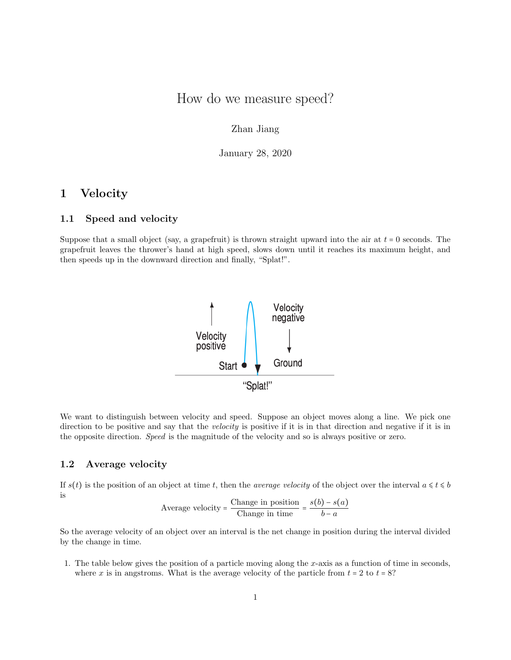# How do we measure speed?

## Zhan Jiang

January 28, 2020

# 1 Velocity

#### 1.1 Speed and velocity

Suppose that a small object (say, a grapefruit) is thrown straight upward into the air at  $t = 0$  seconds. The grapefruit leaves the thrower's hand at high speed, slows down until it reaches its maximum height, and then speeds up in the downward direction and finally, "Splat!".



We want to distinguish between velocity and speed. Suppose an object moves along a line. We pick one direction to be positive and say that the velocity is positive if it is in that direction and negative if it is in the opposite direction. Speed is the magnitude of the velocity and so is always positive or zero.

#### 1.2 Average velocity

If  $s(t)$  is the position of an object at time t, then the *average velocity* of the object over the interval  $a \le t \le b$ is

Average velocity = 
$$
\frac{\text{Change in position}}{\text{Change in time}} = \frac{s(b) - s(a)}{b - a}
$$

So the average velocity of an object over an interval is the net change in position during the interval divided by the change in time.

1. The table below gives the position of a particle moving along the x-axis as a function of time in seconds, where x is in angstroms. What is the average velocity of the particle from  $t = 2$  to  $t = 8$ ?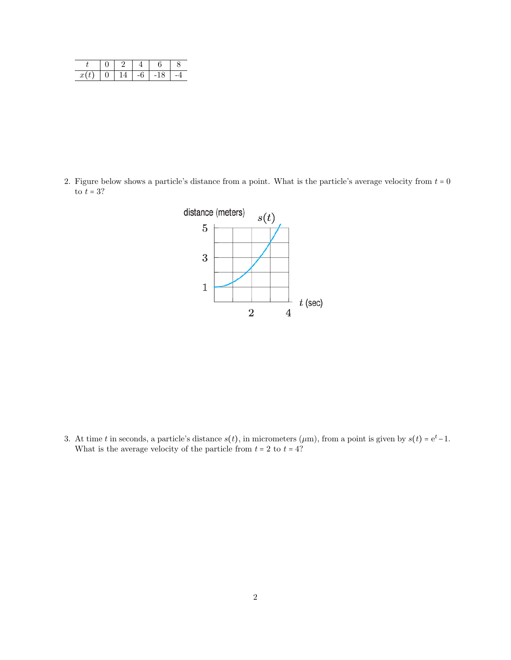| x(t) |  | -6 | -18 |  |
|------|--|----|-----|--|

2. Figure below shows a particle's distance from a point. What is the particle's average velocity from  $t = 0$ to  $t=3?$ 



3. At time t in seconds, a particle's distance  $s(t)$ , in micrometers ( $\mu$ m), from a point is given by  $s(t) = e^t - 1$ . What is the average velocity of the particle from  $t = 2$  to  $t = 4$ ?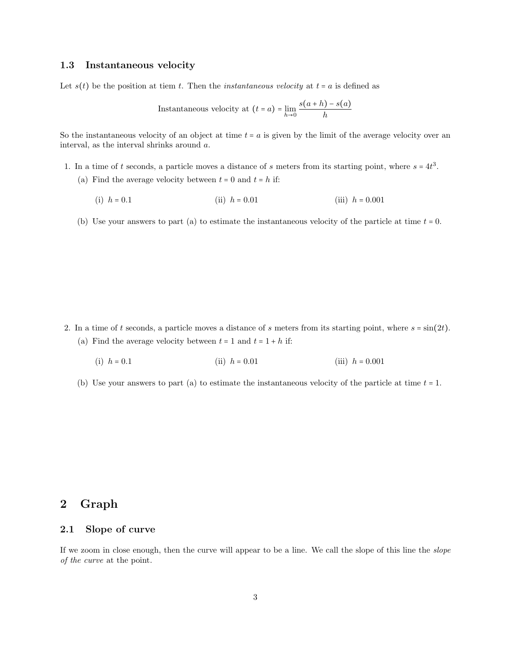#### 1.3 Instantaneous velocity

Let  $s(t)$  be the position at tiem t. Then the *instantaneous velocity* at  $t = a$  is defined as

Instantaneous velocity at 
$$
(t = a) = \lim_{h \to 0} \frac{s(a+h) - s(a)}{h}
$$

So the instantaneous velocity of an object at time  $t = a$  is given by the limit of the average velocity over an interval, as the interval shrinks around a.

- 1. In a time of t seconds, a particle moves a distance of s meters from its starting point, where  $s = 4t^3$ . (a) Find the average velocity between  $t = 0$  and  $t = h$  if:
	- (i)  $h = 0.1$  (ii)  $h = 0.01$  (iii)  $h = 0.001$
	- (b) Use your answers to part (a) to estimate the instantaneous velocity of the particle at time  $t = 0$ .

- 2. In a time of t seconds, a particle moves a distance of s meters from its starting point, where  $s = \sin(2t)$ . (a) Find the average velocity between  $t = 1$  and  $t = 1 + h$  if:
	- (i)  $h = 0.1$  (ii)  $h = 0.01$  (iii)  $h = 0.001$
	- (b) Use your answers to part (a) to estimate the instantaneous velocity of the particle at time  $t = 1$ .

# 2 Graph

## 2.1 Slope of curve

If we zoom in close enough, then the curve will appear to be a line. We call the slope of this line the slope of the curve at the point.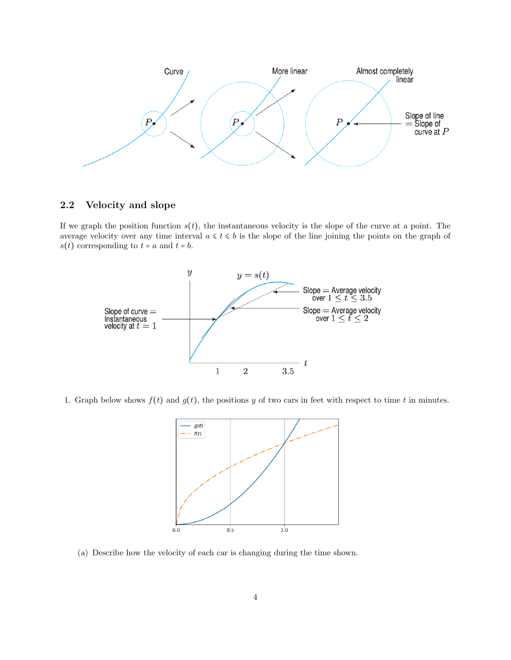

### 2.2 Velocity and slope

If we graph the position function  $s(t)$ , the instantaneous velocity is the slope of the curve at a point. The average velocity over any time interval  $a \leq t \leq b$  is the slope of the line joining the points on the graph of  $s(t)$  corresponding to  $t = a$  and  $t = b$ .



1. Graph below shows  $f(t)$  and  $g(t)$ , the positions y of two cars in feet with respect to time t in minutes.



(a) Describe how the velocity of each car is changing during the time shown.